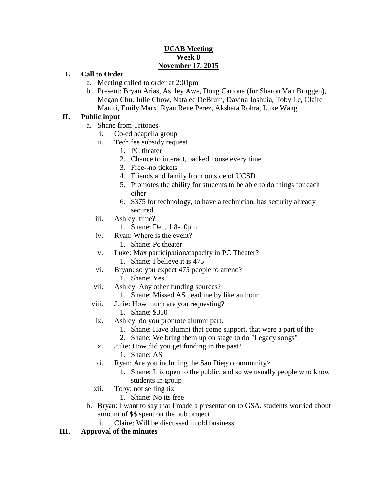### **UCAB Meeting Week 8 November 17, 2015**

#### **I. Call to Order**

- a. Meeting called to order at 2:01pm
- b. Present: Bryan Arias, Ashley Awe, Doug Carlone (for Sharon Van Bruggen), Megan Chu, Julie Chow, Natalee DeBruin, Davina Joshuia, Toby Le, Claire Maniti, Emily Marx, Ryan Rene Perez, Akshata Rohra, Luke Wang

#### **II. Public input**

- a. Shane from Tritones
	- i. Co-ed acapella group
	- ii. Tech fee subsidy request
		- 1. PC theater
		- 2. Chance to interact, packed house every time
		- 3. Free--no tickets
		- 4. Friends and family from outside of UCSD
		- 5. Promotes the ability for students to be able to do things for each other
		- 6. \$375 for technology, to have a technician, has security already secured
	- iii. Ashley: time?
		- 1. Shane: Dec. 1 8-10pm
	- iv. Ryan: Where is the event?
		- 1. Shane: Pc theater
	- v. Luke: Max participation/capacity in PC Theater?
		- 1. Shane: I believe it is 475
	- vi. Bryan: so you expect 475 people to attend?
		- 1. Shane: Yes
	- vii. Ashley: Any other funding sources?
		- 1. Shane: Missed AS deadline by like an hour
	- viii. Julie: How much are you requesting?
		- 1. Shane: \$350
	- ix. Ashley: do you promote alumni part.
		- 1. Shane: Have alumni that come support, that were a part of the
		- 2. Shane: We bring them up on stage to do "Legacy songs"
	- x. Julie: How did you get funding in the past?
		- 1. Shane: AS
	- xi. Ryan: Are you including the San Diego community>
		- 1. Shane: It is open to the public, and so we usually people who know students in group
	- xii. Toby: not selling tix
		- 1. Shane: No its free
- b. Bryan: I want to say that I made a presentation to GSA, students worried about amount of \$\$ spent on the pub project
	- i. Claire: Will be discussed in old business

### **III. Approval of the minutes**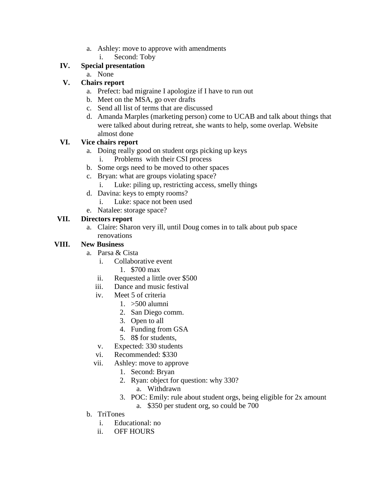- a. Ashley: move to approve with amendments
	- i. Second: Toby

## **IV. Special presentation**

a. None

## **V. Chairs report**

- a. Prefect: bad migraine I apologize if I have to run out
- b. Meet on the MSA, go over drafts
- c. Send all list of terms that are discussed
- d. Amanda Marples (marketing person) come to UCAB and talk about things that were talked about during retreat, she wants to help, some overlap. Website almost done

## **VI. Vice chairs report**

- a. Doing really good on student orgs picking up keys
	- i. Problems with their CSI process
- b. Some orgs need to be moved to other spaces
- c. Bryan: what are groups violating space?
	- i. Luke: piling up, restricting access, smelly things
- d. Davina: keys to empty rooms?
	- i. Luke: space not been used
- e. Natalee: storage space?

## **VII. Directors report**

a. Claire: Sharon very ill, until Doug comes in to talk about pub space renovations

## **VIII. New Business**

- a. Parsa & Cista
	- i. Collaborative event
		- 1. \$700 max
	- ii. Requested a little over \$500
	- iii. Dance and music festival
	- iv. Meet 5 of criteria
		- 1. >500 alumni
		- 2. San Diego comm.
		- 3. Open to all
		- 4. Funding from GSA
		- 5. 8\$ for students,
	- v. Expected: 330 students
	- vi. Recommended: \$330
	- vii. Ashley: move to approve
		- 1. Second: Bryan
		- 2. Ryan: object for question: why 330?
			- a. Withdrawn
		- 3. POC: Emily: rule about student orgs, being eligible for 2x amount a. \$350 per student org, so could be 700
- b. TriTones
	- i. Educational: no
	- ii. OFF HOURS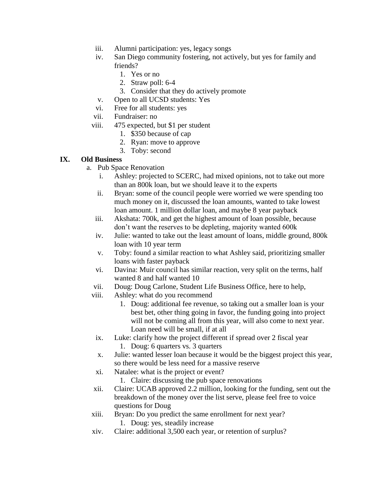- iii. Alumni participation: yes, legacy songs
- iv. San Diego community fostering, not actively, but yes for family and friends?
	- 1. Yes or no
	- 2. Straw poll: 6-4
	- 3. Consider that they do actively promote
- v. Open to all UCSD students: Yes
- vi. Free for all students: yes
- vii. Fundraiser: no
- viii. 475 expected, but \$1 per student
	- 1. \$350 because of cap
	- 2. Ryan: move to approve
	- 3. Toby: second

### **IX. Old Business**

- a. Pub Space Renovation
	- i. Ashley: projected to SCERC, had mixed opinions, not to take out more than an 800k loan, but we should leave it to the experts
	- ii. Bryan: some of the council people were worried we were spending too much money on it, discussed the loan amounts, wanted to take lowest loan amount. 1 million dollar loan, and maybe 8 year payback
	- iii. Akshata: 700k, and get the highest amount of loan possible, because don't want the reserves to be depleting, majority wanted 600k
	- iv. Julie: wanted to take out the least amount of loans, middle ground, 800k loan with 10 year term
	- v. Toby: found a similar reaction to what Ashley said, prioritizing smaller loans with faster payback
	- vi. Davina: Muir council has similar reaction, very split on the terms, half wanted 8 and half wanted 10
	- vii. Doug: Doug Carlone, Student Life Business Office, here to help,
	- viii. Ashley: what do you recommend
		- 1. Doug: additional fee revenue, so taking out a smaller loan is your best bet, other thing going in favor, the funding going into project will not be coming all from this year, will also come to next year. Loan need will be small, if at all
	- ix. Luke: clarify how the project different if spread over 2 fiscal year 1. Doug: 6 quarters vs. 3 quarters
	- x. Julie: wanted lesser loan because it would be the biggest project this year, so there would be less need for a massive reserve
	- xi. Natalee: what is the project or event?
		- 1. Claire: discussing the pub space renovations
	- xii. Claire: UCAB approved 2.2 million, looking for the funding, sent out the breakdown of the money over the list serve, please feel free to voice questions for Doug
	- xiii. Bryan: Do you predict the same enrollment for next year? 1. Doug: yes, steadily increase
	- xiv. Claire: additional 3,500 each year, or retention of surplus?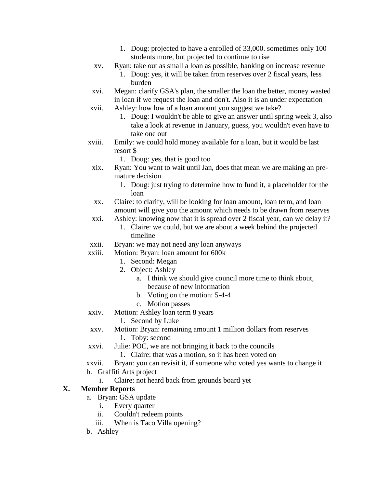- 1. Doug: projected to have a enrolled of 33,000. sometimes only 100 students more, but projected to continue to rise
- xv. Ryan: take out as small a loan as possible, banking on increase revenue
	- 1. Doug: yes, it will be taken from reserves over 2 fiscal years, less burden
- xvi. Megan: clarify GSA's plan, the smaller the loan the better, money wasted in loan if we request the loan and don't. Also it is an under expectation
- xvii. Ashley: how low of a loan amount you suggest we take?
	- 1. Doug: I wouldn't be able to give an answer until spring week 3, also take a look at revenue in January, guess, you wouldn't even have to take one out
- xviii. Emily: we could hold money available for a loan, but it would be last resort \$
	- 1. Doug: yes, that is good too
	- xix. Ryan: You want to wait until Jan, does that mean we are making an premature decision
		- 1. Doug: just trying to determine how to fund it, a placeholder for the loan
	- xx. Claire: to clarify, will be looking for loan amount, loan term, and loan amount will give you the amount which needs to be drawn from reserves
- xxi. Ashley: knowing now that it is spread over 2 fiscal year, can we delay it?
	- 1. Claire: we could, but we are about a week behind the projected timeline
- xxii. Bryan: we may not need any loan anyways
- xxiii. Motion: Bryan: loan amount for 600k
	- 1. Second: Megan
	- 2. Object: Ashley
		- a. I think we should give council more time to think about, because of new information
		- b. Voting on the motion: 5-4-4
		- c. Motion passes
- xxiv. Motion: Ashley loan term 8 years
	- 1. Second by Luke
- xxv. Motion: Bryan: remaining amount 1 million dollars from reserves 1. Toby: second
- xxvi. Julie: POC, we are not bringing it back to the councils
	- 1. Claire: that was a motion, so it has been voted on
- xxvii. Bryan: you can revisit it, if someone who voted yes wants to change it
- b. Graffiti Arts project
	- i. Claire: not heard back from grounds board yet

# **X. Member Reports**

- a. Bryan: GSA update
	- i. Every quarter
	- ii. Couldn't redeem points
	- iii. When is Taco Villa opening?
- b. Ashley